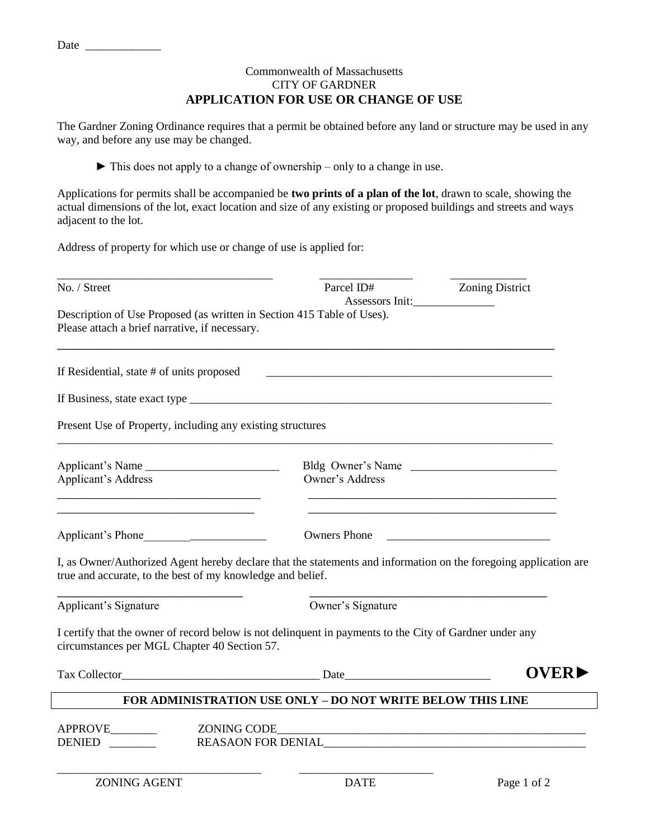## Commonwealth of Massachusetts CITY OF GARDNER **APPLICATION FOR USE OR CHANGE OF USE**

The Gardner Zoning Ordinance requires that a permit be obtained before any land or structure may be used in any way, and before any use may be changed.

► This does not apply to a change of ownership – only to a change in use.

Applications for permits shall be accompanied be **two prints of a plan of the lot**, drawn to scale, showing the actual dimensions of the lot, exact location and size of any existing or proposed buildings and streets and ways adjacent to the lot.

Address of property for which use or change of use is applied for:

| No. / Street                                                                                                                                                                   | Parcel ID#                           | <b>Zoning District</b>                                    |
|--------------------------------------------------------------------------------------------------------------------------------------------------------------------------------|--------------------------------------|-----------------------------------------------------------|
| Description of Use Proposed (as written in Section 415 Table of Uses).<br>Please attach a brief narrative, if necessary.                                                       |                                      |                                                           |
| If Residential, state # of units proposed                                                                                                                                      |                                      |                                                           |
|                                                                                                                                                                                |                                      |                                                           |
| Present Use of Property, including any existing structures                                                                                                                     |                                      |                                                           |
| Applicant's Name<br><b>Applicant's Address</b>                                                                                                                                 | Bldg Owner's Name<br>Owner's Address |                                                           |
| Applicant's Phone                                                                                                                                                              | <b>Owners Phone</b>                  | <u> 1989 - Johann Barbara, martxa amerikan personal (</u> |
| I, as Owner/Authorized Agent hereby declare that the statements and information on the foregoing application are<br>true and accurate, to the best of my knowledge and belief. |                                      |                                                           |
| Applicant's Signature                                                                                                                                                          | Owner's Signature                    |                                                           |
| I certify that the owner of record below is not delinguent in payments to the City of Gardner under any<br>circumstances per MGL Chapter 40 Section 57.                        |                                      |                                                           |
|                                                                                                                                                                                |                                      | <b>OVER</b>                                               |
| FOR ADMINISTRATION USE ONLY - DO NOT WRITE BELOW THIS LINE                                                                                                                     |                                      |                                                           |
| APPROVE______<br><b>DENIED</b>                                                                                                                                                 | ZONING CODE                          |                                                           |

Date  $\_\_$ 

ZONING AGENT DATE Page 1 of 2